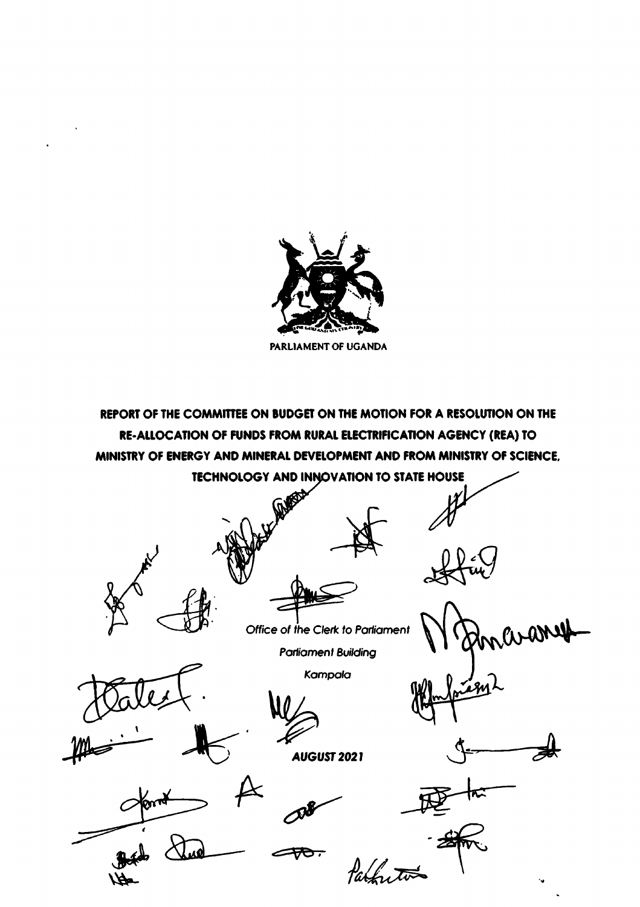

REPORT OF THE COMMITTEE ON BUDGET ON THE MOTION FOR A RESOLUTION ON THE RE-ALLOCATION OF FUNDS FROM RURAL ELECTRIFICATION AGENCY (REA) TO MINISTRY OF ENERGY AND MINERAL DEVELOPMENT AND FROM MINISTRY OF SCIENCE, **TECHNOLOGY AND INNOVATION TO STATE HOUSE** 

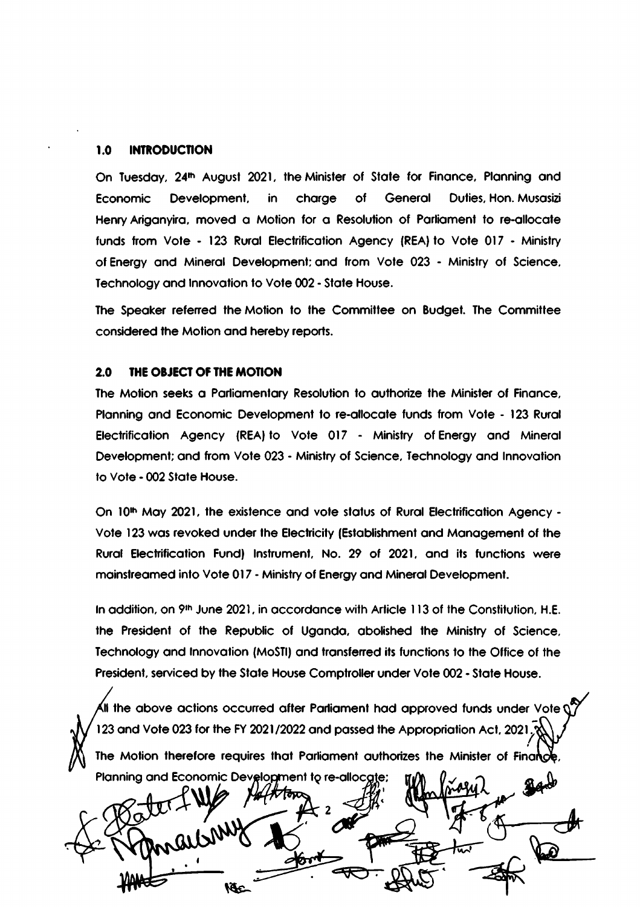#### $1.0$ **INTRODUCTION**

On Tuesday, 24<sup>th</sup> August 2021, the Minister of State for Finance, Planning and of General Duties, Hon. Musasizi Economic Development, in charge Henry Ariganyira, moved a Motion for a Resolution of Parliament to re-allocate funds from Vote - 123 Rural Electrification Agency (REA) to Vote 017 - Ministry of Energy and Mineral Development; and from Vote 023 - Ministry of Science, Technology and Innovation to Vote 002 - State House.

The Speaker referred the Motion to the Committee on Budget. The Committee considered the Motion and hereby reports.

#### $2.0$ THE OBJECT OF THE MOTION

The Motion seeks a Parliamentary Resolution to authorize the Minister of Finance, Planning and Economic Development to re-allocate funds from Vote - 123 Rural Electrification Agency (REA) to Vote 017 - Ministry of Energy and Mineral Development; and from Vote 023 - Ministry of Science, Technology and Innovation to Vote - 002 State House.

On 10th May 2021, the existence and vote status of Rural Electrification Agency -Vote 123 was revoked under the Electricity (Establishment and Management of the Rural Electrification Fund) Instrument, No. 29 of 2021, and its functions were mainstreamed into Vote 017 - Ministry of Energy and Mineral Development.

In addition, on 9th June 2021, in accordance with Article 113 of the Constitution, H.E. the President of the Republic of Uganda, abolished the Ministry of Science, Technology and Innovation (MoSTI) and transferred its functions to the Office of the President, serviced by the State House Comptroller under Vote 002 - State House.

 $\blacktriangleleft$ ll the above actions occurred after Parliament had approved funds under Vote  $\lozenge$ 123 and Vote 023 for the FY 2021/2022 and passed the Appropriation Act, 2021. The Motion therefore requires that Parliament authorizes the Minister of Finance

Planning and Economic Development to re-allocate; **MALARTON** kfc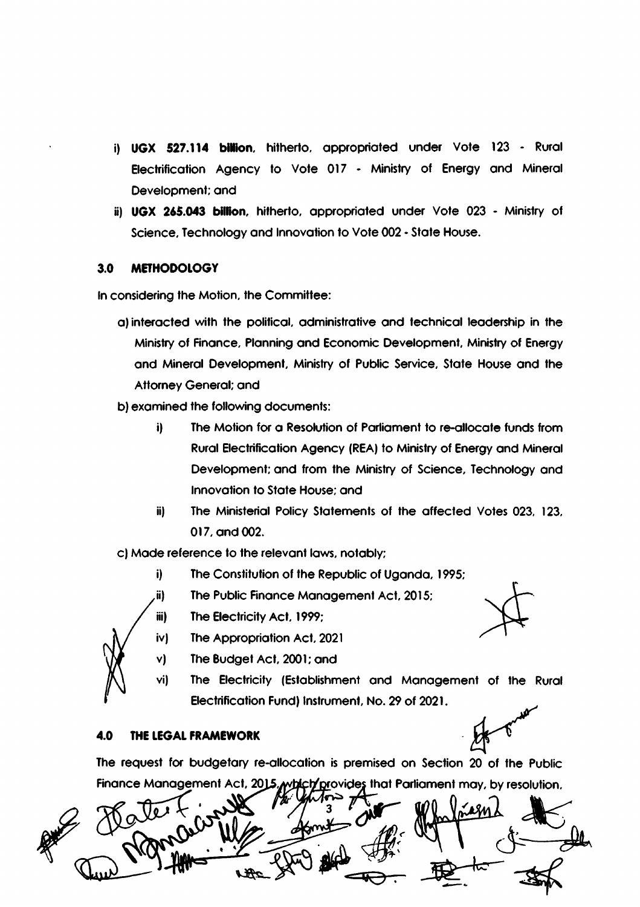- i) UGX 527.114 billion, hitherto, appropriated under Vote 123 Rural Electrification Agency to Vote 017 - Ministry of Energy and Mineral Development; and
- ii) UGX 265.043 billion, hitherto, appropriated under Vote 023 Ministry of Science, Technology and Innovation to Vote 002 - State House.

#### **METHODOLOGY**  $3.0$

In considering the Motion, the Committee:

- a) interacted with the political, administrative and technical leadership in the Ministry of Finance, Planning and Economic Development, Ministry of Energy and Mineral Development, Ministry of Public Service, State House and the **Attorney General; and**
- b) examined the following documents:
	- $\ddot{\mathbf{i}}$ The Motion for a Resolution of Parliament to re-allocate funds from Rural Electrification Agency (REA) to Ministry of Energy and Mineral Development; and from the Ministry of Science, Technology and Innovation to State House: and
	- The Ministerial Policy Statements of the affected Votes 023, 123, ii) 017, and 002.
- c) Made reference to the relevant laws, notably;
	- i) The Constitution of the Republic of Uganda, 1995;
	- ii), The Public Finance Management Act, 2015;



iv) The Appropriation Act, 2021

The Electricity Act, 1999;

- The Budget Act, 2001; and
- The Electricity (Establishment and Management of the Rural Electrification Fund) Instrument, No. 29 of 2021.

#### THE LEGAL FRAMEWORK 4.0

iii)

V)

vi)

The request for budgetary re-allocation is premised on Section 20 of the Public Finance Management Act, 2015, which provides that Parliament may, by resolution,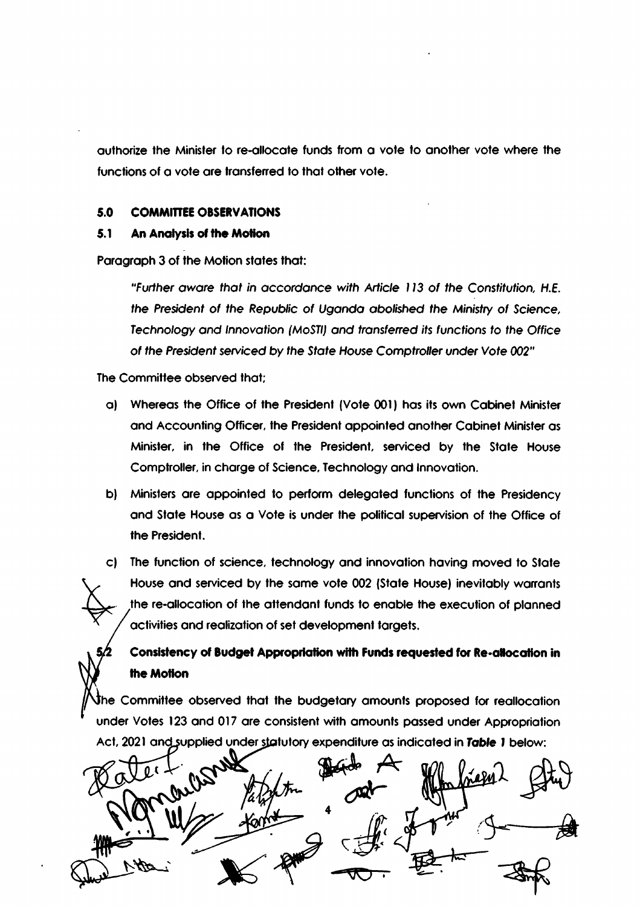authorize the Minister to re-allocate funds from a vote to another vote where the functions of a vote are transferred to that other vote.

#### 5.0 **COMMITTEE OBSERVATIONS**

#### $5.1$ An Analysis of the Motion

Paragraph 3 of the Motion states that:

"Further aware that in accordance with Article 113 of the Constitution, H.E. the President of the Republic of Uganda abolished the Ministry of Science, Technology and Innovation (MoSTI) and transferred its functions to the Office of the President serviced by the State House Comptroller under Vote 002"

The Committee observed that:

- a) Whereas the Office of the President (Vote 001) has its own Cabinet Minister and Accounting Officer, the President appointed another Cabinet Minister as Minister, in the Office of the President, serviced by the State House Comptroller, in charge of Science, Technology and Innovation.
- b) Ministers are appointed to perform delegated functions of the Presidency and State House as a Vote is under the political supervision of the Office of the President.

c) The function of science, technology and innovation having moved to State House and serviced by the same vote 002 (State House) inevitably warrants the re-allocation of the attendant funds to enable the execution of planned activities and realization of set development targets.

# Consistency of Budget Appropriation with Funds requested for Re-allocation in the Motion

The Committee observed that the budgetary amounts proposed for reallocation under Votes 123 and 017 are consistent with amounts passed under Appropriation Act, 2021 and supplied under statutory expenditure as indicated in Table 1 below:

margary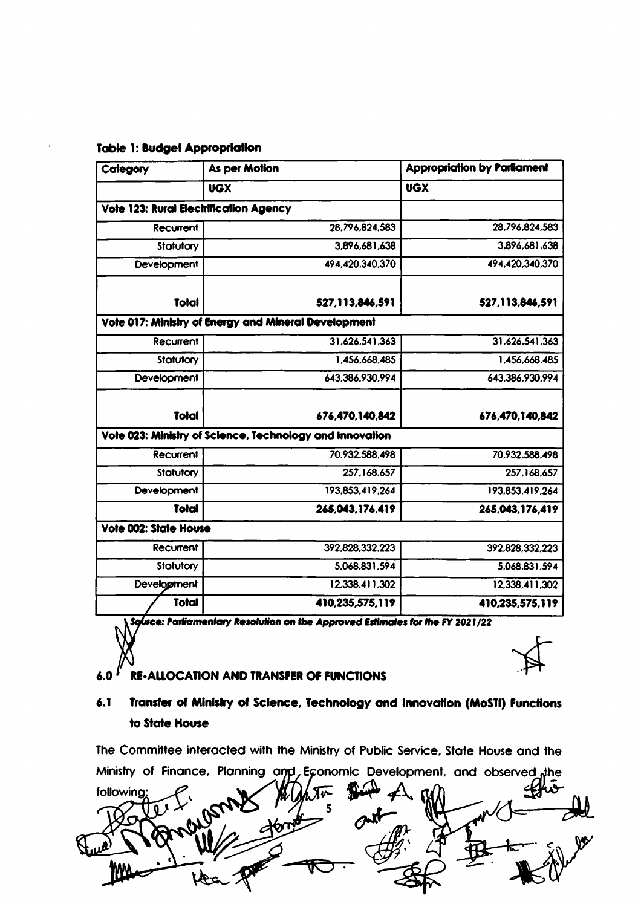| Category                                      | <b>As per Motion</b>                                     | <b>Appropriation by Parliament</b> |
|-----------------------------------------------|----------------------------------------------------------|------------------------------------|
|                                               | <b>UGX</b>                                               | <b>UGX</b>                         |
| <b>Vote 123: Rural Electrification Agency</b> |                                                          |                                    |
| Recurrent                                     | 28.796.824.583                                           | 28,796,824,583                     |
| Statutory                                     | 3,896,681,638                                            | 3,896,681,638                      |
| <b>Development</b>                            | 494,420.340,370                                          | 494,420,340,370                    |
| Total                                         | 527,113,846,591                                          | 527,113,846,591                    |
|                                               | Vote 017: Ministry of Energy and Mineral Development     |                                    |
| Recurrent                                     | 31.626.541.363                                           | 31.626.541.363                     |
| Statutory                                     | 1,456,668,485                                            | 1,456,668,485                      |
| Development                                   | 643,386,930,994                                          | 643,386,930,994                    |
| Total                                         | 676,470,140,842                                          | 676,470,140,842                    |
|                                               | Vote 023: Ministry of Science, Technology and Innovation |                                    |
| Recurrent                                     | 70.932,588,498                                           | 70,932,588,498                     |
| Statutory                                     | 257,168,657                                              | 257,168,657                        |
| Development                                   | 193,853,419,264                                          | 193,853,419,264                    |
| <b>Total</b>                                  | 265,043,176,419                                          | 265,043,176,419                    |
| Vote 002: State House                         |                                                          |                                    |
| Recurrent                                     | 392,828,332.223                                          | 392.828.332.223                    |
| Statutory                                     | 5.068.831,594                                            | 5,068,831,594                      |
| Development                                   | 12,338,411,302                                           | 12,338,411,302                     |
| Total                                         | 410,235,575,119                                          | 410,235,575,119                    |

### **Table 1: Budget Appropriation**

Source: Parliamentary Resolution on the Approved Estimates for the FY 2021/22

#### $6.0 f$ **RE-ALLOCATION AND TRANSFER OF FUNCTIONS**

### $6.1$ Transfer of Ministry of Science, Technology and Innovation (MoSTI) Functions to State House

The Committee interacted with the Ministry of Public Service, State House and the Ministry of Finance, Planning and, Economic Development, and observed the

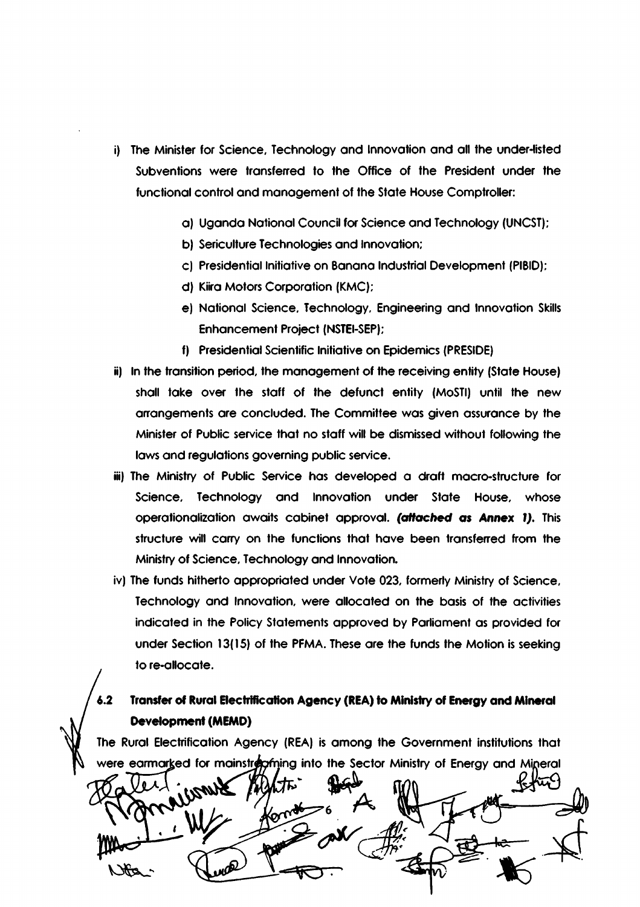- i) The Minister for Science, Technology and Innovation and all the under-listed Subventions were transferred to the Office of the President under the functional control and management of the State House Comptroller:
	- a) Uganda National Council for Science and Technology (UNCST);
	- b) Sericulture Technologies and Innovation;
	- c) Presidential Initiative on Banana Industrial Development (PIBID);
	- d) Kiira Motors Corporation (KMC);
	- e) National Science, Technology, Engineering and Innovation Skills **Enhancement Project (NSTEI-SEP);**
	- f) Presidential Scientific Initiative on Epidemics (PRESIDE)
- ii) In the transition period, the management of the receiving entity (State House) shall take over the staff of the defunct entity (MoSTI) until the new arrangements are concluded. The Committee was given assurance by the Minister of Public service that no staff will be dismissed without following the laws and regulations governing public service.
- iii) The Ministry of Public Service has developed a draft macro-structure for Science, Technology and Innovation under State House, whose operationalization awaits cabinet approval. (attached as Annex 1). This structure will carry on the functions that have been transferred from the Ministry of Science, Technology and Innovation.
- iv) The funds hitherto appropriated under Vote 023, formerly Ministry of Science, Technology and Innovation, were allocated on the basis of the activities indicated in the Policy Statements approved by Parliament as provided for under Section 13(15) of the PFMA. These are the funds the Motion is seeking to re-allocate.

### Transfer of Rural Electrification Agency (REA) to Ministry of Energy and Mineral  $6.2$ **Development (MEMD)**

The Rural Electrification Agency (REA) is among the Government institutions that were earmarked for mainstropy into the Sector Ministry of Energy and Mineral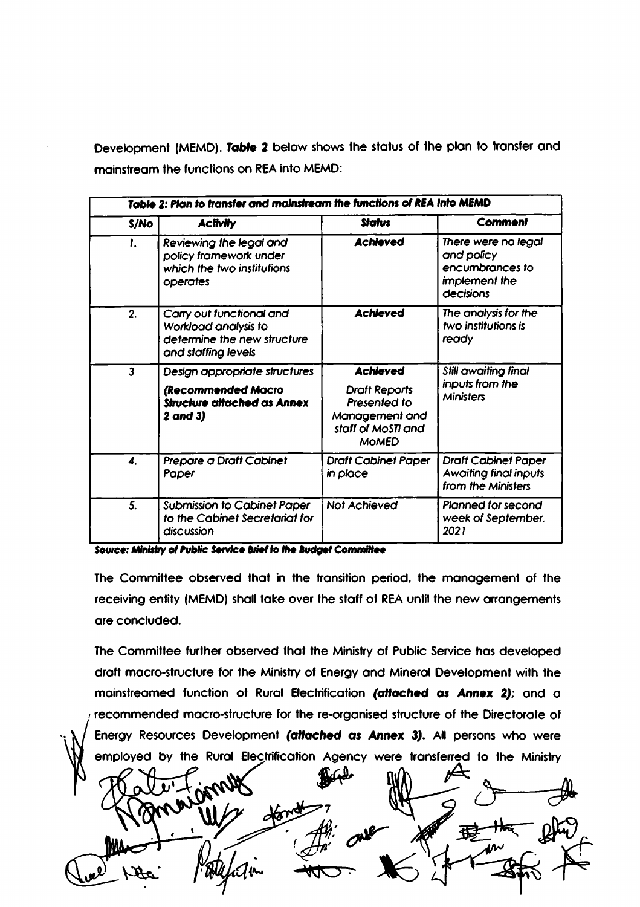Development (MEMD). Table 2 below shows the status of the plan to transfer and mainstream the functions on REA into MEMD:

|                           | Table 2: Plan to transfer and mainstream the functions of REA Into MEMD                                |                                                                                              |                                                                                    |  |
|---------------------------|--------------------------------------------------------------------------------------------------------|----------------------------------------------------------------------------------------------|------------------------------------------------------------------------------------|--|
| S/No                      | <b>Activity</b>                                                                                        | <b>Status</b>                                                                                | Comment                                                                            |  |
| 1.                        | Reviewing the legal and<br>policy framework under<br>which the two institutions<br>operates            | <b>Achieved</b>                                                                              | There were no legal<br>and policy<br>encumbrances to<br>implement the<br>decisions |  |
| 2.                        | Carry out functional and<br>Workload analysis to<br>determine the new structure<br>and staffing levels | <b>Achieved</b>                                                                              | The analysis for the<br>two institutions is<br>ready                               |  |
| $\mathbf{3}$              | Design appropriate structures                                                                          | <b>Achieved</b>                                                                              | Still awaiting final                                                               |  |
|                           | (Recommended Macro<br><b>Structure attached as Annex</b><br>$2$ and $3)$                               | <b>Draft Reports</b><br>Presented to<br>Management and<br>staff of MoSTI and<br><b>MOMED</b> | inputs from the<br><b>Ministers</b>                                                |  |
| $\overline{\mathbf{4}}$ . | Prepare a Draft Cabinet<br>Paper                                                                       | <b>Draft Cabinet Paper</b><br>in place                                                       | <b>Draft Cabinet Paper</b><br><b>Awaiting final inputs</b><br>from the Ministers   |  |
| 5.                        | <b>Submission to Cabinet Paper</b><br>to the Cabinet Secretariat for<br>discussion                     | Not Achieved                                                                                 | <b>Planned for second</b><br>week of September,<br>2021                            |  |

Source: Ministry of Public Service Brief to the Budget Committee

The Committee observed that in the transition period, the management of the receiving entity (MEMD) shall take over the staff of REA until the new arrangements are concluded.

The Committee further observed that the Ministry of Public Service has developed draft macro-structure for the Ministry of Energy and Mineral Development with the mainstreamed function of Rural Electrification (attached as Annex 2); and a recommended macro-structure for the re-organised structure of the Directorate of Energy Resources Development (attached as Annex 3). All persons who were employed by the Rural Electrification Agency were transferred to the Ministry

任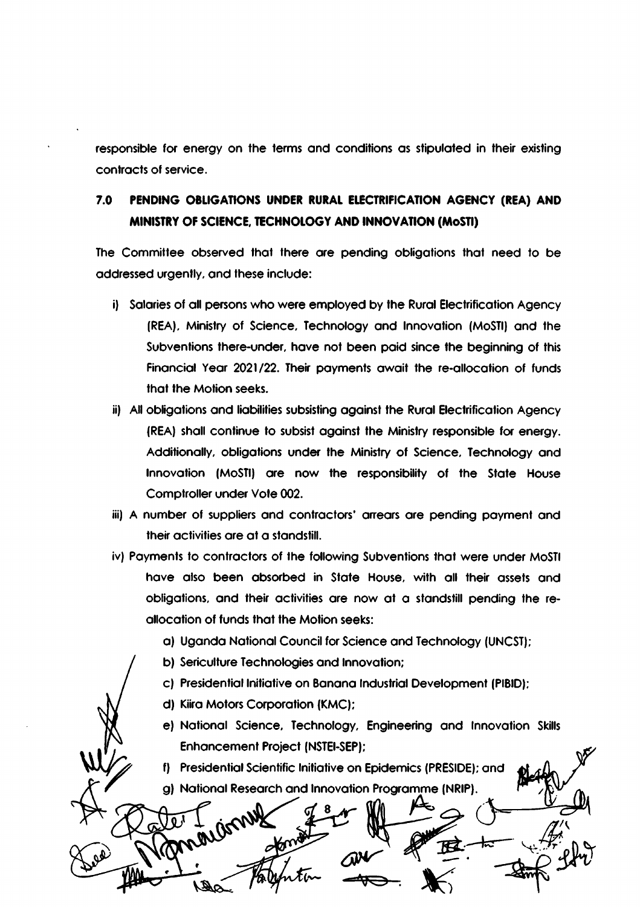responsible for energy on the terms and conditions as stipulated in their existing contracts of service.

### $7.0$ PENDING OBLIGATIONS UNDER RURAL ELECTRIFICATION AGENCY (REA) AND MINISTRY OF SCIENCE, TECHNOLOGY AND INNOVATION (MoSTI)

The Committee observed that there are pending obligations that need to be addressed urgently, and these include:

- i) Salaries of all persons who were employed by the Rural Electrification Agency (REA), Ministry of Science, Technology and Innovation (MoSTI) and the Subventions there-under, have not been paid since the beginning of this Financial Year 2021/22. Their payments await the re-allocation of funds that the Motion seeks.
- ii) All obligations and liabilities subsisting against the Rural Electrification Agency (REA) shall continue to subsist against the Ministry responsible for energy. Additionally, obligations under the Ministry of Science, Technology and Innovation (MoSTI) are now the responsibility of the State House Comptroller under Vote 002.
- iii) A number of suppliers and contractors' arrears are pending payment and their activities are at a standstill.
- iv) Payments to contractors of the following Subventions that were under MoSTI have also been absorbed in State House, with all their assets and obligations, and their activities are now at a standstill pending the reallocation of funds that the Motion seeks:
	- a) Uganda National Council for Science and Technology (UNCST);
	- b) Sericulture Technologies and Innovation;
	- c) Presidential Initiative on Banana Industrial Development (PIBID);
	- d) Kiira Motors Corporation (KMC);

icw

mo

all J

e) National Science, Technology, Engineering and Innovation Skills **Enhancement Project (NSTEI-SEP):** 

f) Presidential Scientific Initiative on Epidemics (PRESIDE); and g) National Research and Innovation Programme (NRIP).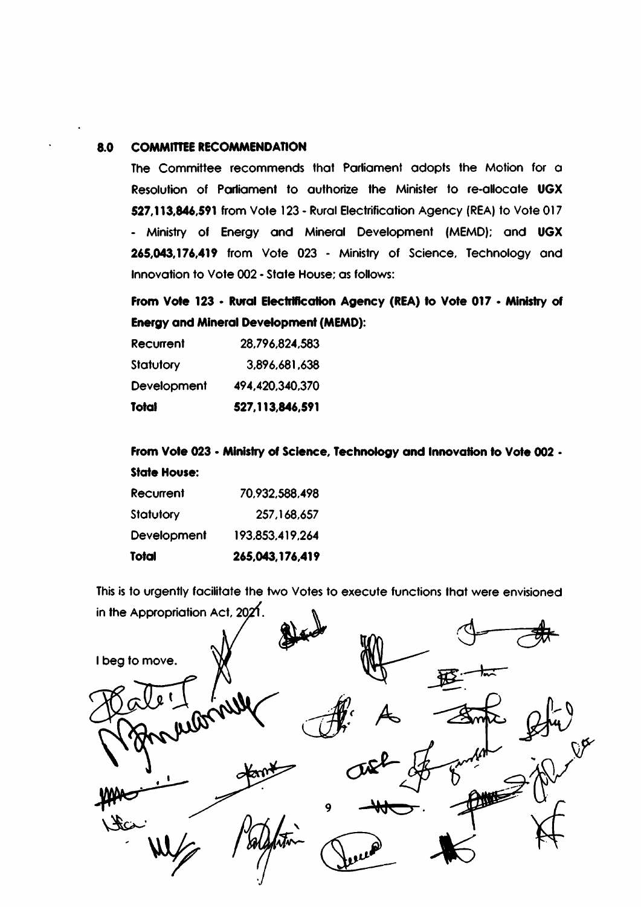#### **COMMITTEE RECOMMENDATION** 8.0

The Committee recommends that Parliament adopts the Motion for a Resolution of Parliament to authorize the Minister to re-allocate UGX 527,113,846,591 from Vote 123 - Rural Electrification Agency (REA) to Vote 017 - Ministry of Energy and Mineral Development (MEMD); and UGX 265,043,176,419 from Vote 023 - Ministry of Science, Technology and Innovation to Vote 002 - State House; as follows:

From Vote 123 - Rural Electrification Agency (REA) to Vote 017 - Ministry of **Energy and Mineral Development (MEMD):** 

| Recurrent   | 28,796,824,583  |
|-------------|-----------------|
| Statutory   | 3,896,681,638   |
| Development | 494,420,340,370 |
| Total       | 527,113,846,591 |

From Vote 023 - Ministry of Science, Technology and Innovation to Vote 002 -**State House:** 

| Total       | 265,043,176,419 |
|-------------|-----------------|
| Development | 193,853,419,264 |
| Statutory   | 257,168,657     |
| Recurrent   | 70,932,588,498  |

This is to urgently facilitate the two Votes to execute functions that were envisioned in the Appropriation Act,  $2021$ .

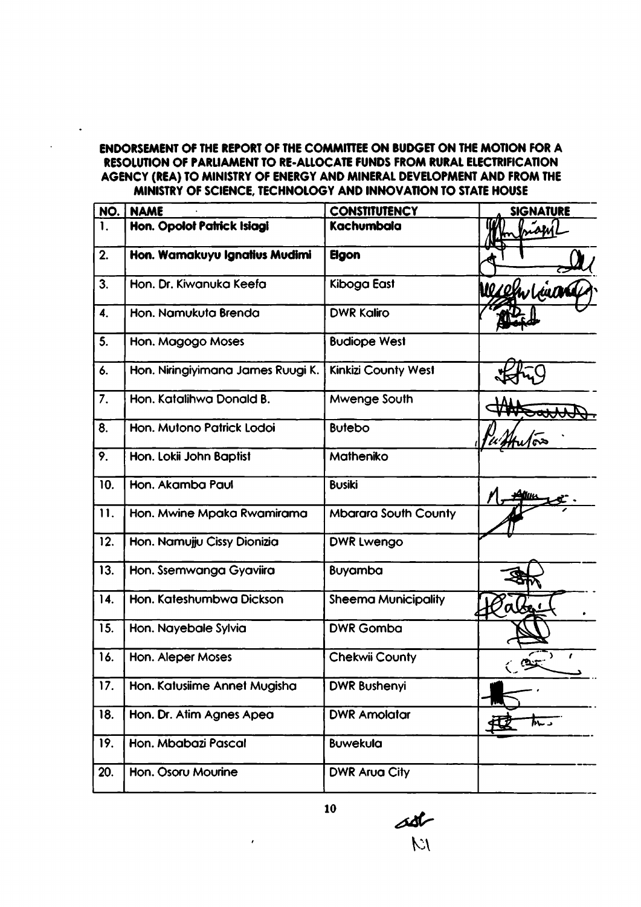# ENDORSEMENT OF THE REPORT OF THE COMMITTEE ON BUDGET ON THE MOTION FOR A RESOLUTION OF PARLIAMENT TO RE-ALLOCATE FUNDS FROM RURAL ELECTRIFICATION AGENCY (REA) TO MINISTRY OF ENERGY AND MINERAL DEVELOPMENT AND FROM THE MINISTRY OF SCIENCE, TECHNOLOGY AND INNOVATION TO STATE HOUSE

 $\ddot{\phantom{1}}$ 

| NO.            | <b>NAME</b>                       | <b>CONSTITUTENCY</b>        | <b>SIGNATURE</b> |
|----------------|-----------------------------------|-----------------------------|------------------|
| $\mathbf{1}$ . | Hon. Opolot Patrick Isiagi        | Kachumbala                  | <b>isa</b>       |
| 2.             | Hon. Wamakuyu Ignatius Mudimi     | <b>Elgon</b>                |                  |
| 3.             | Hon. Dr. Kiwanuka Keefa           | Kiboga East                 | Werehrlina       |
| 4.             | Hon. Namukuta Brenda              | <b>DWR Kaliro</b>           |                  |
| 5.             | Hon. Magogo Moses                 | <b>Budiope West</b>         |                  |
| 6.             | Hon. Niringiyimana James Ruugi K. | <b>Kinkizi County West</b>  |                  |
| 7.             | Hon. Katalihwa Donald B.          | Mwenge South                |                  |
| 8.             | Hon. Mutono Patrick Lodoi         | <b>Butebo</b>               | ∕∾               |
| 9.             | Hon. Lokii John Baptist           | Matheniko                   |                  |
| 10.            | Hon. Akamba Paul                  | <b>Busiki</b>               |                  |
| 11.            | Hon. Mwine Mpaka Rwamirama        | <b>Mbarara South County</b> |                  |
| 12.            | Hon. Namujju Cissy Dionizia       | DWR Lwengo                  |                  |
| 13.            | Hon. Ssemwanga Gyaviira           | <b>Buyamba</b>              |                  |
| 14.            | Hon. Kateshumbwa Dickson          | <b>Sheema Municipality</b>  | alt              |
| 15.            | Hon. Nayebale Sylvia              | <b>DWR Gomba</b>            |                  |
| 16.            | Hon. Aleper Moses                 | <b>Chekwii County</b>       |                  |
| 17.            | Hon. Katusiime Annet Mugisha      | <b>DWR Bushenyi</b>         |                  |
| 18.            | Hon. Dr. Atim Agnes Apea          | <b>DWR Amolatar</b>         | <b>These</b>     |
| 19.            | Hon. Mbabazi Pascal               | <b>Buwekula</b>             |                  |
| 20.            | Hon. Osoru Mourine                | <b>DWR Arua City</b>        |                  |

**Note** 

10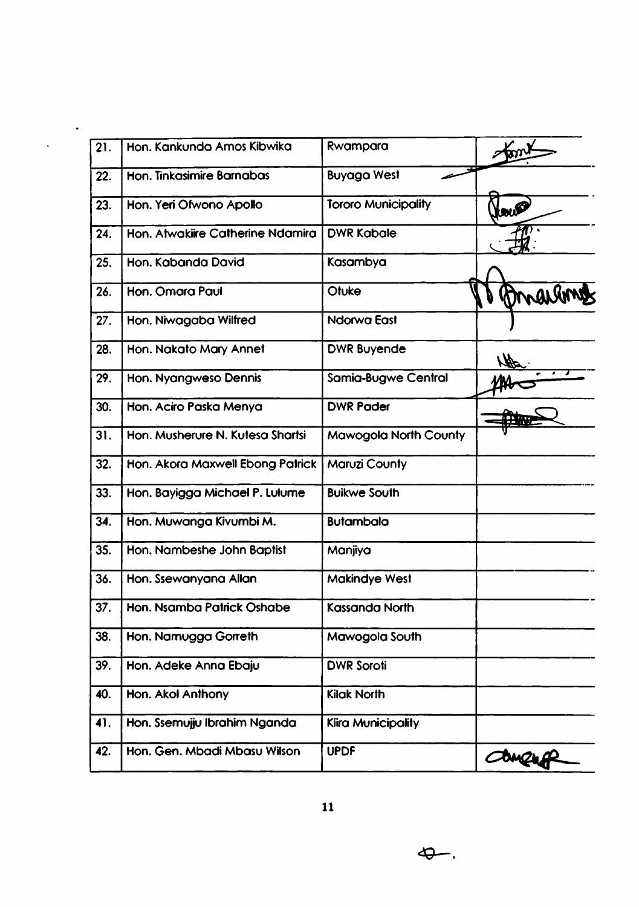| 21. | Hon. Kankunda Amos Kibwika       | Rwampara                     |        |
|-----|----------------------------------|------------------------------|--------|
| 22. | Hon. Tinkasimire Barnabas        | <b>Buyaga West</b>           |        |
| 23. | Hon. Yeri Ofwono Apollo          | <b>Tororo Municipality</b>   | tow    |
| 24. | Hon. Atwakiire Catherine Ndamira | <b>DWR Kabale</b>            |        |
| 25. | Hon. Kabanda David               | Kasambya                     |        |
| 26. | Hon. Omara Paul                  | Otuke                        | marg   |
| 27. | Hon. Niwagaba Wilfred            | Ndorwa East                  |        |
| 28. | Hon. Nakato Mary Annet           | <b>DWR Buyende</b>           |        |
| 29. | Hon. Nyangweso Dennis            | <b>Samia-Bugwe Central</b>   |        |
| 30. | Hon. Aciro Paska Menya           | <b>DWR Pader</b>             |        |
| 31. | Hon. Musherure N. Kutesa Shartsi | <b>Mawogola North County</b> |        |
| 32. | Hon. Akora Maxwell Ebong Patrick | <b>Maruzi County</b>         |        |
| 33. | Hon. Bayigga Michael P. Lulume   | <b>Buikwe South</b>          |        |
| 34. | Hon. Muwanga Kivumbi M.          | <b>Butambala</b>             |        |
| 35. | Hon. Nambeshe John Baptist       | Manjiya                      |        |
| 36. | Hon. Ssewanyana Allan            | <b>Makindye West</b>         |        |
| 37. | Hon. Nsamba Patrick Oshabe       | <b>Kassanda North</b>        |        |
| 38. | Hon. Namugga Gorreth             | Mawogola South               |        |
| 39. | Hon. Adeke Anna Ebaju            | <b>DWR Soroti</b>            |        |
| 40. | Hon. Akol Anthony                | <b>Kilak North</b>           |        |
| 41. | Hon. Ssemujju Ibrahim Nganda     | Kiira Municipality           |        |
| 42. | Hon. Gen. Mbadi Mbasu Wilson     | <b>UPDF</b>                  | Concro |

 $\hat{\mathcal{A}}$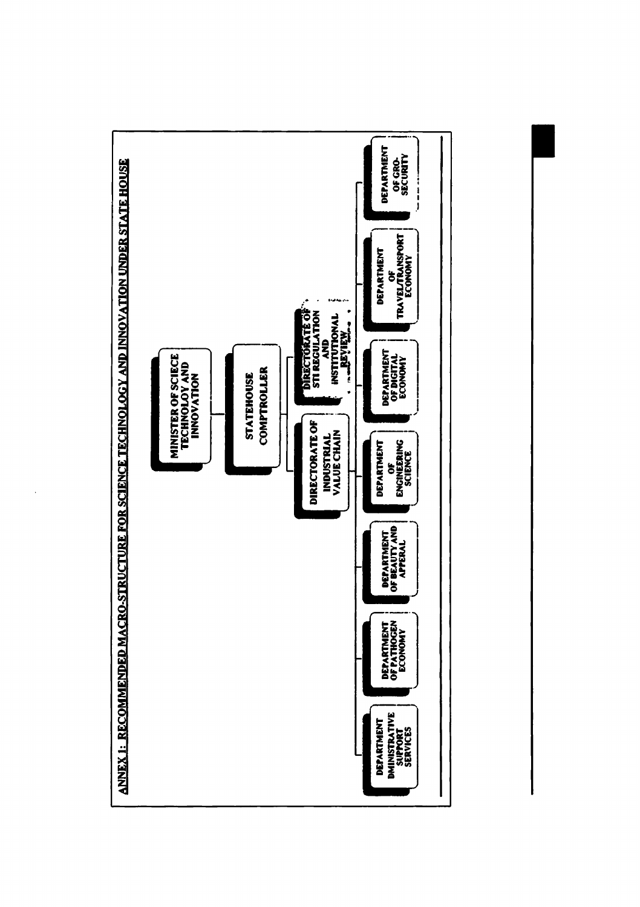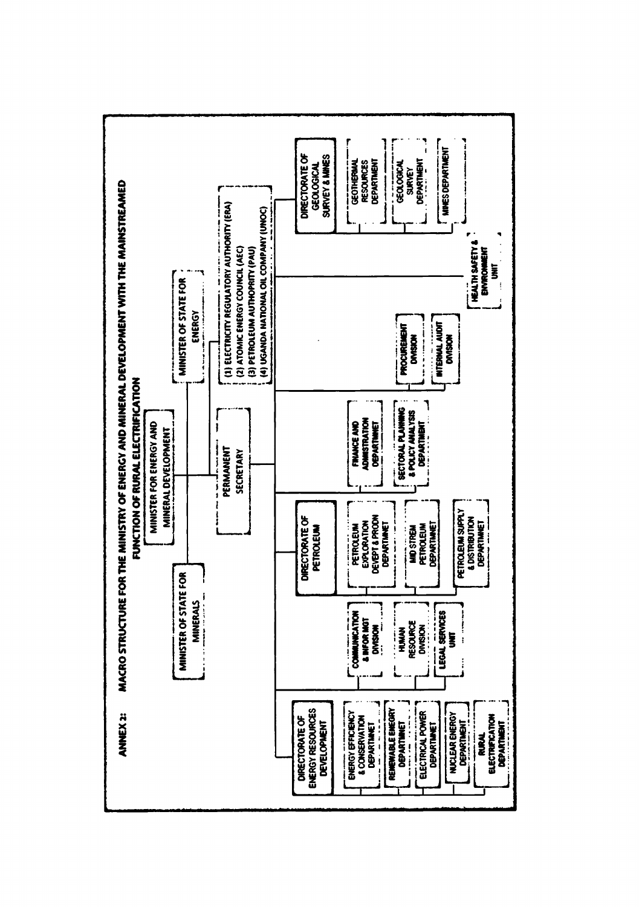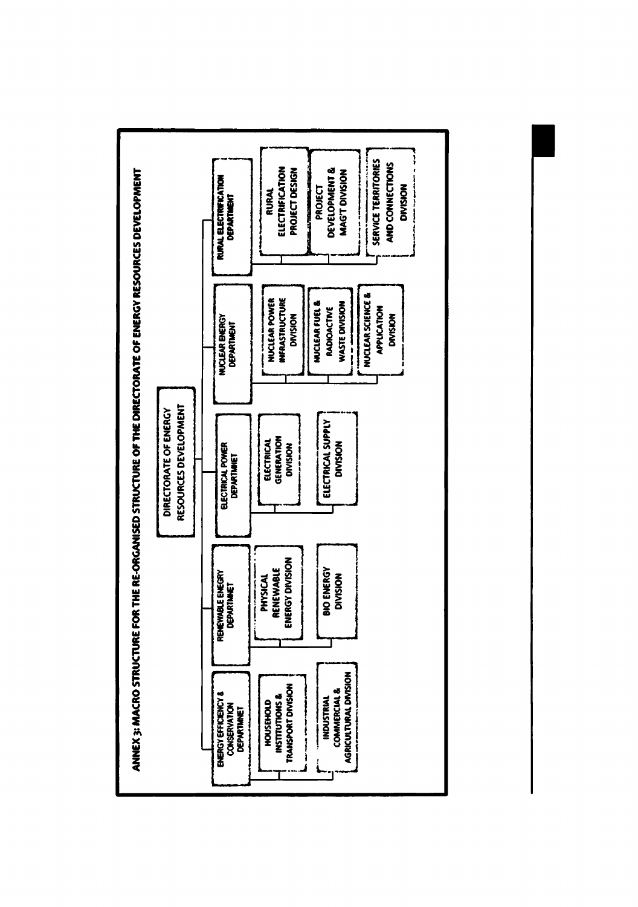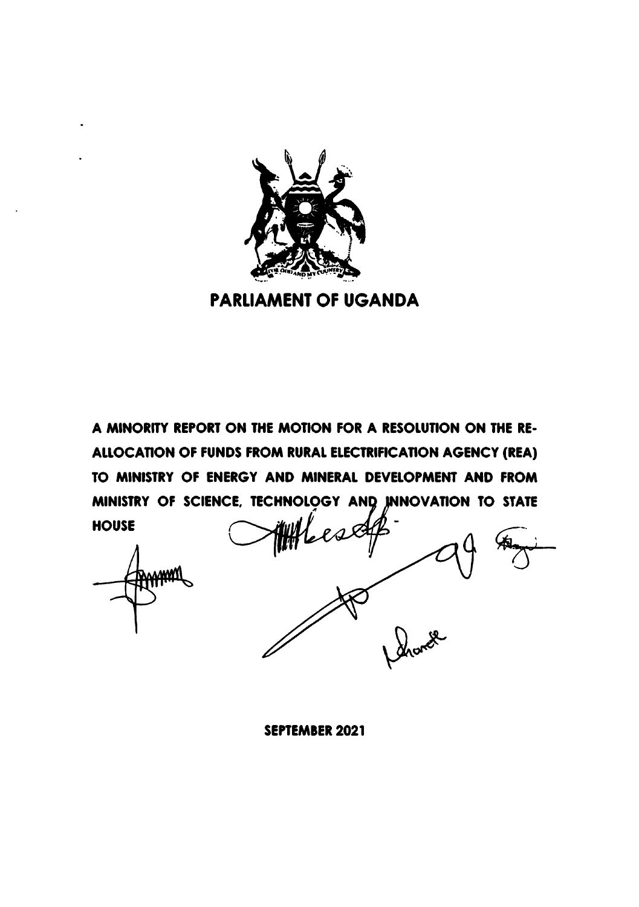

**PARLIAMENT OF UGANDA** 

A MINORITY REPORT ON THE MOTION FOR A RESOLUTION ON THE RE-ALLOCATION OF FUNDS FROM RURAL ELECTRIFICATION AGENCY (REA) TO MINISTRY OF ENERGY AND MINERAL DEVELOPMENT AND FROM MINISTRY OF SCIENCE, TECHNOLOGY AND INNOVATION TO STATE **HOUSE** 

**SEPTEMBER 2021**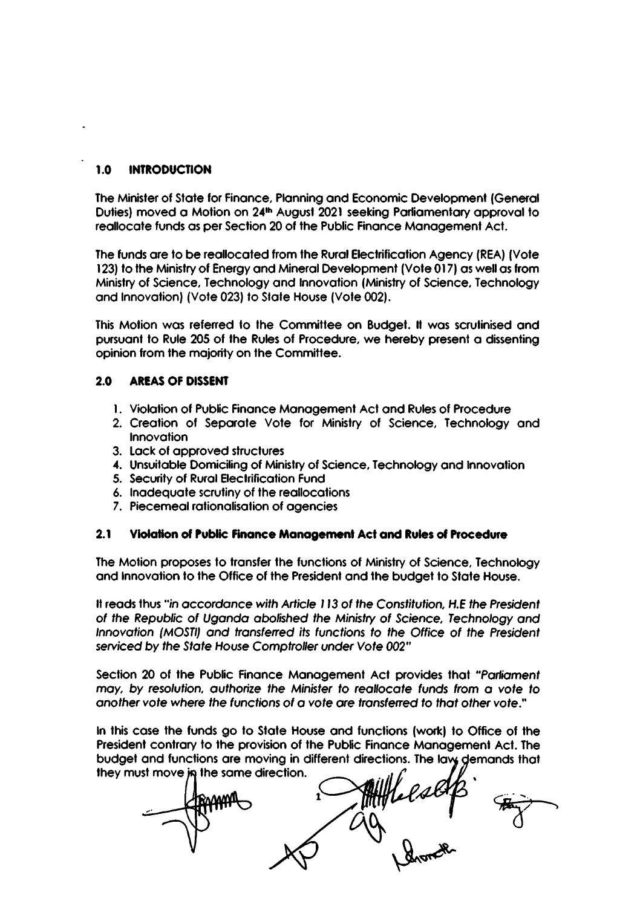#### 1.0 **INTRODUCTION**

The Minister of State for Finance, Planning and Economic Development (General Duties) moved a Motion on 24th August 2021 seeking Parliamentary approval to reallocate funds as per Section 20 of the Public Finance Management Act.

The funds are to be reallocated from the Rural Electrification Agency (REA) (Vote 123) to the Ministry of Energy and Mineral Development (Vote 017) as well as from Ministry of Science, Technology and Innovation (Ministry of Science, Technology and Innovation) (Vote 023) to State House (Vote 002).

This Motion was referred to the Committee on Budget. It was scrutinised and pursuant to Rule 205 of the Rules of Procedure, we hereby present a dissenting opinion from the majority on the Committee.

#### $2.0$ **AREAS OF DISSENT**

- 1. Violation of Public Finance Management Act and Rules of Procedure
- 2. Creation of Separate Vote for Ministry of Science, Technology and **Innovation**
- 3. Lack of approved structures
- 4. Unsuitable Domiciling of Ministry of Science, Technology and Innovation
- 5. Security of Rural Electrification Fund
- 6. Inadequate scrutiny of the reallocations
- 7. Piecemeal rationalisation of agencies

#### $2.1$ Violation of Public Finance Management Act and Rules of Procedure

The Motion proposes to transfer the functions of Ministry of Science, Technology and Innovation to the Office of the President and the budget to State House.

It reads thus "in accordance with Article 113 of the Constitution, H.E the President of the Republic of Uganda abolished the Ministry of Science, Technology and Innovation (MOSTI) and transferred its functions to the Office of the President serviced by the State House Comptroller under Vote 002"

Section 20 of the Public Finance Management Act provides that "Parliament may, by resolution, authorize the Minister to reallocate funds from a vote to another vote where the functions of a vote are transferred to that other vote."

In this case the funds go to State House and functions (work) to Office of the President contrary to the provision of the Public Finance Management Act. The budget and functions are moving in different directions. The law demands that they must move in the same direction.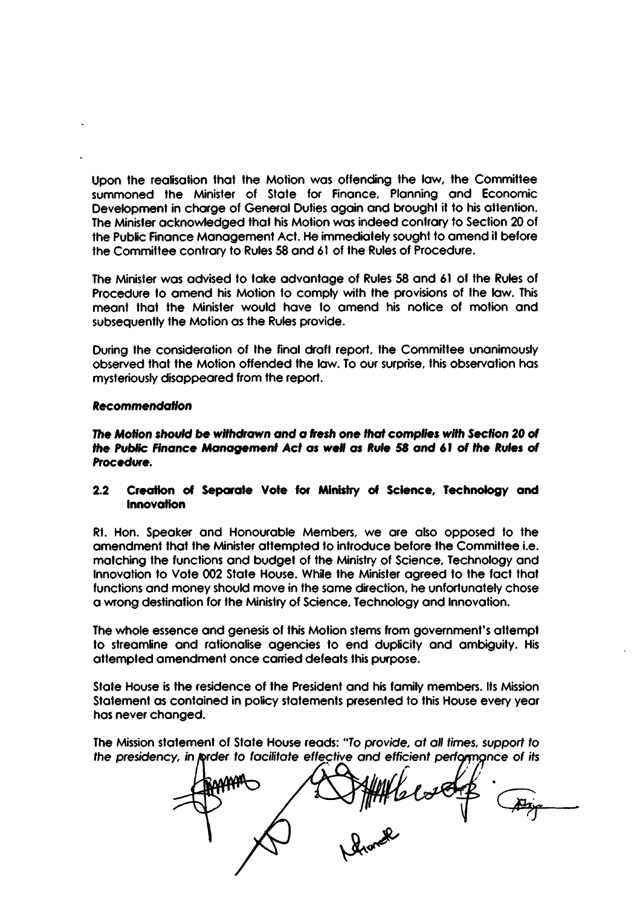Upon the realisation that the Motion was offending the law, the Committee summoned the Minister of State for Finance, Planning and Economic Development in charge of General Duties again and brought it to his attention. The Minister acknowledged that his Motion was indeed contrary to Section 20 of the Public Finance Management Act. He immediately sought to amend it before the Committee contrary to Rules 58 and 61 of the Rules of Procedure.

The Minister was advised to take advantage of Rules 58 and 61 of the Rules of Procedure to amend his Motion to comply with the provisions of the law. This meant that the Minister would have to amend his notice of motion and subsequently the Motion as the Rules provide.

During the consideration of the final draft report, the Committee unanimously observed that the Motion offended the law. To our surprise, this observation has mysteriously disappeared from the report.

### **Recommendation**

The Motion should be withdrawn and a fresh one that complies with Section 20 of the Public Finance Management Act as well as Rule 58 and 61 of the Rules of Procedure.

### Creation of Separate Vote for Ministry of Science, Technology and  $2.2$ **Innovation**

Rt. Hon. Speaker and Honourable Members, we are also opposed to the amendment that the Minister attempted to introduce before the Committee i.e. matching the functions and budget of the Ministry of Science, Technology and Innovation to Vote 002 State House. While the Minister agreed to the fact that functions and money should move in the same direction, he unfortunately chose a wrong destination for the Ministry of Science, Technology and Innovation.

The whole essence and genesis of this Motion stems from government's attempt to streamline and rationalise agencies to end duplicity and ambiguity. His attempted amendment once carried defeats this purpose.

State House is the residence of the President and his family members. Its Mission Statement as contained in policy statements presented to this House every year has never changed.

The Mission statement of State House reads: "To provide, at all times, support to the presidency, in prder to facilitate effective and efficient performance of its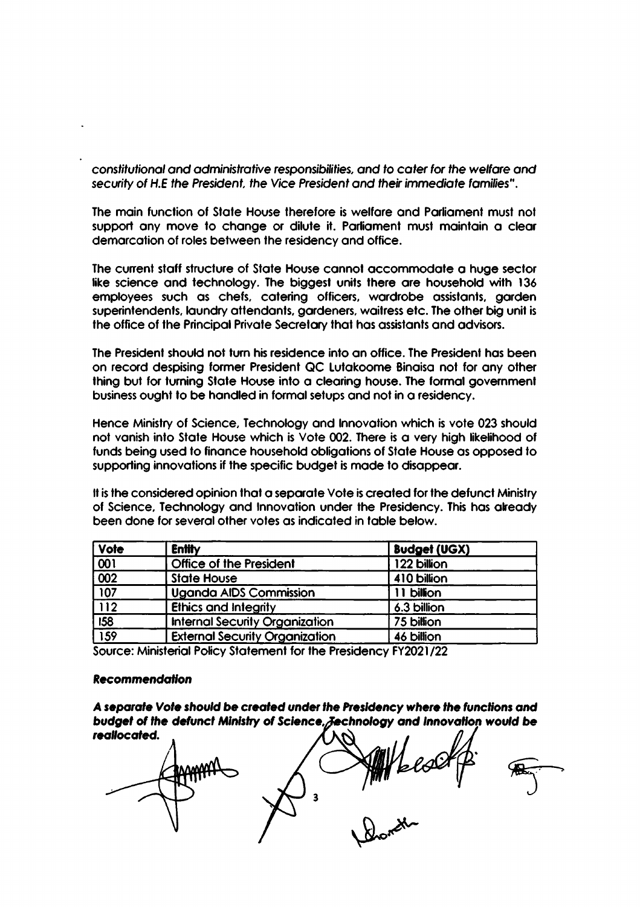constitutional and administrative responsibilities, and to cater for the welfare and security of H.E the President, the Vice President and their immediate families".

The main function of State House therefore is welfare and Parliament must not support any move to change or dilute it. Parliament must maintain a clear demarcation of roles between the residency and office.

The current staff structure of State House cannot accommodate a huge sector like science and technology. The biggest units there are household with 136 employees such as chefs, catering officers, wardrobe assistants, garden superintendents, laundry attendants, gardeners, waitress etc. The other big unit is the office of the Principal Private Secretary that has assistants and advisors.

The President should not turn his residence into an office. The President has been on record despising former President QC Lutakoome Binaisa not for any other thing but for turning State House into a clearing house. The formal government business ought to be handled in formal setups and not in a residency.

Hence Ministry of Science, Technology and Innovation which is vote 023 should not vanish into State House which is Vote 002. There is a very high likelihood of funds being used to finance household obligations of State House as opposed to supporting innovations if the specific budget is made to disappear.

It is the considered opinion that a separate Vote is created for the defunct Ministry of Science, Technology and Innovation under the Presidency. This has already been done for several other votes as indicated in table below.

| <b>Vote</b>                                                     | <b>Entity</b>                         | <b>Budget (UGX)</b> |
|-----------------------------------------------------------------|---------------------------------------|---------------------|
| $\begin{array}{ c c }\n\hline\n001 \\ \hline\n002\n\end{array}$ | <b>Office of the President</b>        | 122 billion         |
|                                                                 | <b>State House</b>                    | 410 billion         |
| $\overline{107}$                                                | <b>Uganda AIDS Commission</b>         | 11 billion          |
| $\overline{112}$                                                | <b>Ethics and Integrity</b>           | 6.3 billion         |
| $\overline{158}$                                                | <b>Internal Security Organization</b> | 75 billion          |
| $\overline{159}$                                                | <b>External Security Organization</b> | 46 billion          |

Source: Ministerial Policy Statement for the Presidency FY2021/22

### **Recommendation**

A separate Vote should be created under the Presidency where the functions and budget of the defunct Ministry of Science, Jechnology and Innovation would be reallocated.